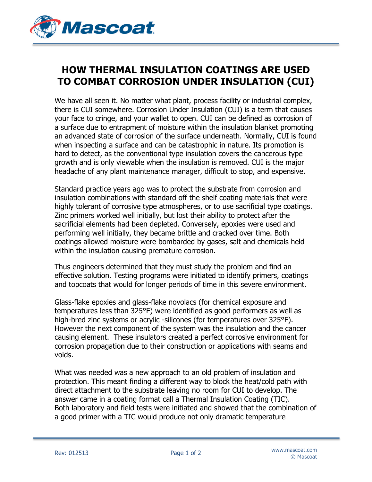

## **HOW THERMAL INSULATION COATINGS ARE USED TO COMBAT CORROSION UNDER INSULATION (CUI)**

We have all seen it. No matter what plant, process facility or industrial complex, there is CUI somewhere. Corrosion Under Insulation (CUI) is a term that causes your face to cringe, and your wallet to open. CUI can be defined as corrosion of a surface due to entrapment of moisture within the insulation blanket promoting an advanced state of corrosion of the surface underneath. Normally, CUI is found when inspecting a surface and can be catastrophic in nature. Its promotion is hard to detect, as the conventional type insulation covers the cancerous type growth and is only viewable when the insulation is removed. CUI is the major headache of any plant maintenance manager, difficult to stop, and expensive.

Standard practice years ago was to protect the substrate from corrosion and insulation combinations with standard off the shelf coating materials that were highly tolerant of corrosive type atmospheres, or to use sacrificial type coatings. Zinc primers worked well initially, but lost their ability to protect after the sacrificial elements had been depleted. Conversely, epoxies were used and performing well initially, they became brittle and cracked over time. Both coatings allowed moisture were bombarded by gases, salt and chemicals held within the insulation causing premature corrosion.

Thus engineers determined that they must study the problem and find an effective solution. Testing programs were initiated to identify primers, coatings and topcoats that would for longer periods of time in this severe environment.

Glass-flake epoxies and glass-flake novolacs (for chemical exposure and temperatures less than 325°F) were identified as good performers as well as high-bred zinc systems or acrylic -silicones (for temperatures over 325°F). However the next component of the system was the insulation and the cancer causing element. These insulators created a perfect corrosive environment for corrosion propagation due to their construction or applications with seams and voids.

What was needed was a new approach to an old problem of insulation and protection. This meant finding a different way to block the heat/cold path with direct attachment to the substrate leaving no room for CUI to develop. The answer came in a coating format call a Thermal Insulation Coating (TIC). Both laboratory and field tests were initiated and showed that the combination of a good primer with a TIC would produce not only dramatic temperature